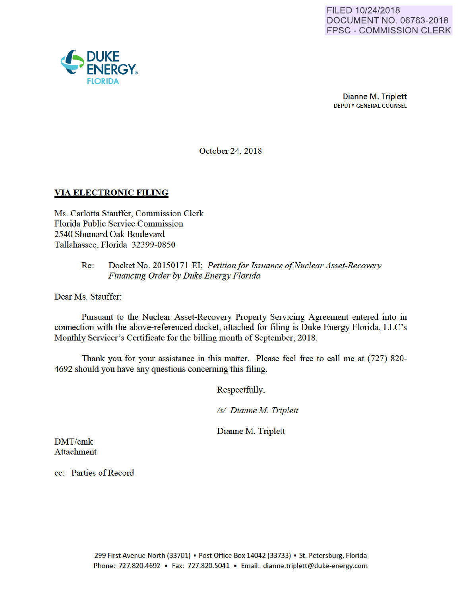

October 24, 2018

#### VIA ELECTRONIC FILING

Ms. Carlotta Stauffer, Commission Clerk Florida Public Service Commission 2540 Shumard Oak Boulevard Tallahassee, Florida 32399-0850

#### Re: Docket No. 20150171-EI; *Petitionfor Issuance of Nuclear Asset-Recovery Financing Order by Duke Energy Florida*

Dear Ms. Stauffer:

Pursuant to the Nuclear Asset-Recovery Property Servicing Agreement entered into in connection with the above-referenced docket, attached for filing is Duke Energy Florida, LLC's Monthly Servicer's Certificate for the billing month of September, 2018.

Thank you for your assistance in this matter. Please feel free to call me at (727) 820- 4692 should you have any questions conceming this filing.

Respectfully,

*Is/ Dianne M Triplett* 

Dianne M. Triplett

DMT/cmk Attachment

cc: Parties of Record

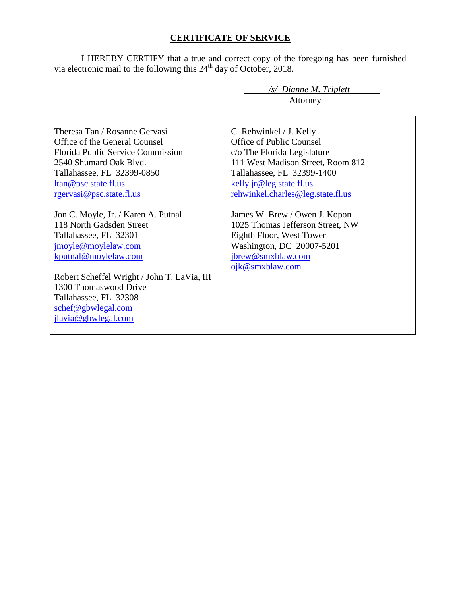# **CERTIFICATE OF SERVICE**

I HEREBY CERTIFY that a true and correct copy of the foregoing has been furnished via electronic mail to the following this  $24<sup>th</sup>$  day of October, 2018.

|                                                                                                                                                                                                                                                                                       | /s/ Dianne M. Triplett<br>Attorney                                                                                                                                                                                     |
|---------------------------------------------------------------------------------------------------------------------------------------------------------------------------------------------------------------------------------------------------------------------------------------|------------------------------------------------------------------------------------------------------------------------------------------------------------------------------------------------------------------------|
| Theresa Tan / Rosanne Gervasi<br>Office of the General Counsel<br>Florida Public Service Commission<br>2540 Shumard Oak Blvd.<br>Tallahassee, FL 32399-0850<br>ltan@psc.state.fl.us<br>rgervasi@psc.state.fl.us                                                                       | C. Rehwinkel / J. Kelly<br>Office of Public Counsel<br>c/o The Florida Legislature<br>111 West Madison Street, Room 812<br>Tallahassee, FL 32399-1400<br>kelly.jr@leg.state.fl.us<br>rehwinkel.charles@leg.state.fl.us |
| Jon C. Moyle, Jr. / Karen A. Putnal<br>118 North Gadsden Street<br>Tallahassee, FL 32301<br>jmoyle@moylelaw.com<br>kputnal@moylelaw.com<br>Robert Scheffel Wright / John T. LaVia, III<br>1300 Thomaswood Drive<br>Tallahassee, FL 32308<br>schef@gbwlegal.com<br>jlavia@gbwlegal.com | James W. Brew / Owen J. Kopon<br>1025 Thomas Jefferson Street, NW<br>Eighth Floor, West Tower<br>Washington, DC 20007-5201<br>jbrew@smxblaw.com<br>ojk@smxblaw.com                                                     |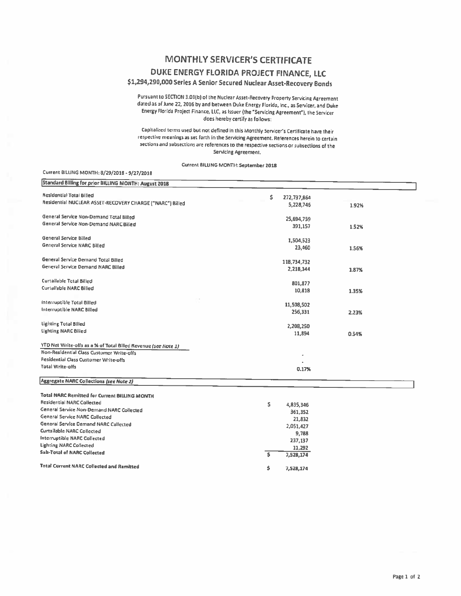## **MONTHLY SERVICER'S CERTIFICATE**

### DUKE ENERGY FLORIDA PROJECT FINANCE, LLC

### \$1,294,290,000 Series A Senior Secured Nuclear Asset-Recovery Bonds

Pursuant to SECTION 3.01(b) of the Nuclear Asset-Recovery Property Servicing Agreement dated as of June 22, 2016 by and between Duke Energy Florida, Inc., as Servicer, and Duke Energy Florida Project Finance, LLC, as Issuer (the "Servicing Agreement"), the Servicer does hereby certify as follows:

Capitalized terms used but not defined in this Monthly Servicer's Certificate have their respective meanings as set forth in the Servicing Agreement. References herein to certain sections and subsections are references to the respective sections or subsections of the Servicing Agreement.

Current BILLING MONTH: September 2018

#### Current BILLING MONTH: 8/29/2018 - 9/27/2018

| Standard Billing for prior BILLING MONTH: August 2018          |                    |       |
|----------------------------------------------------------------|--------------------|-------|
| Residential Total Billed                                       | \$.<br>272,737,864 |       |
| Residential NUCLEAR ASSET-RECOVERY CHARGE ("NARC") Billed      | 5,228,746          | 1.92% |
|                                                                |                    |       |
| General Service Non-Demand Total Billed                        | 25,694,759         |       |
| General Service Non-Demand NARC Billed                         | 391,157            | 1.52% |
| General Service Billed                                         | 1,504,523          |       |
| <b>General Service NARC Billed</b>                             | 23,460             | 1.56% |
|                                                                |                    |       |
| General Service Demand Total Billed                            | 118,734,732        |       |
| General Service Demand NARC Billed                             | 2,218,344          | 1.87% |
| Curtailable Total Billed                                       | 801,877            |       |
| Curtailable NARC Billed                                        | 10,818             |       |
|                                                                |                    | 1.35% |
| Interruptible Total Billed                                     | 11,508,502         |       |
| <b>Interruptible NARC Billed</b>                               | 256,331            | 2.23% |
|                                                                |                    |       |
| <b>Lighting Total Billed</b>                                   | 2,208,250          |       |
| <b>Lighting NARC Billed</b>                                    | 11,894             | 0.54% |
| YTD Net Write-offs as a % of Total Billed Revenue (see Note 1) |                    |       |
| Non-Residential Class Customer Write-offs                      |                    |       |
| Residential Class Customer Write-offs                          |                    |       |
| <b>Total Write-offs</b>                                        | 0.17%              |       |
|                                                                |                    |       |
| Aggregate NARC Collections (see Note 2)                        |                    |       |
| <b>Total NARC Remitted for Current BILLING MONTH</b>           |                    |       |
| <b>Residential NARC Collected</b>                              | \$.<br>4,835,346   |       |
| General Service Non-Demand NARC Collected                      | 361,352            |       |
| General Service NARC Collected                                 | 21,832             |       |
| General Service Demand NARC Collected                          | 2,051,427          |       |
| Curtailable NARC Collected                                     |                    |       |
| Interruptible NARC Collected                                   | 9,788<br>237,137   |       |
| <b>Lighting NARC Collected</b>                                 |                    |       |
| <b>Sub-Total of NARC Collected</b>                             | 11,292<br>\$       |       |
|                                                                | 7,528,174          |       |
| <b>Total Current NARC Collected and Remitted</b>               | \$<br>7,528,174    |       |
|                                                                |                    |       |